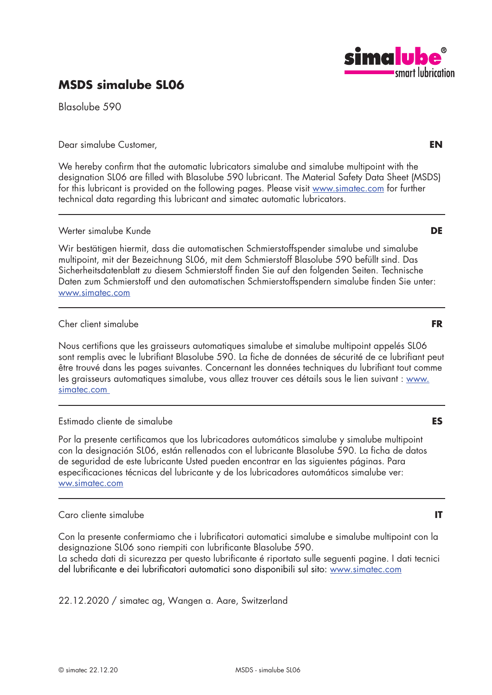© simatec MSDS - simalube SL06

### for this lubricant is provided on the following pages. Please visit www.simatec.com for further technical data regarding this lubricant and simatec automatic lubricators.

### Werter simalube Kunde **DE**

**MSDS simalube SL06**

Blasolube 590

Wir bestätigen hiermit, dass die automatischen Schmierstoffspender simalube und simalube multipoint, mit der Bezeichnung SL06, mit dem Schmierstoff Blasolube 590 befüllt sind. Das Sicherheitsdatenblatt zu diesem Schmierstoff finden Sie auf den folgenden Seiten. Technische Daten zum Schmierstoff und den automatischen Schmierstoffspendern simalube finden Sie unter: www.simatec.com

Dear simalube Customer, **EN**

We hereby confirm that the automatic lubricators simalube and simalube multipoint with the designation SL06 are filled with Blasolube 590 lubricant. The Material Safety Data Sheet (MSDS)

# Cher client simalube **FR**

Nous certifions que les graisseurs automatiques simalube et simalube multipoint appelés SL06 sont remplis avec le lubrifiant Blasolube 590. La fiche de données de sécurité de ce lubrifiant peut être trouvé dans les pages suivantes. Concernant les données techniques du lubrifiant tout comme les graisseurs automatiques simalube, vous allez trouver ces détails sous le lien suivant : www. simatec.com

## Estimado cliente de simalube **ES**

Por la presente certificamos que los lubricadores automáticos simalube y simalube multipoint con la designación SL06, están rellenados con el lubricante Blasolube 590. La ficha de datos de seguridad de este lubricante Usted pueden encontrar en las siguientes páginas. Para especificaciones técnicas del lubricante y de los lubricadores automáticos simalube ver: ww.simatec.com

## Caro cliente simalube **IT**

Con la presente confermiamo che i lubrificatori automatici simalube e simalube multipoint con la designazione SL06 sono riempiti con lubrificante Blasolube 590. La scheda dati di sicurezza per questo lubrificante é riportato sulle seguenti pagine. I dati tecnici del lubrificante e dei lubrificatori automatici sono disponibili sul sito: www.simatec.com

22.12.2020 / simatec ag, Wangen a. Aare, Switzerland

•smart Iubrication

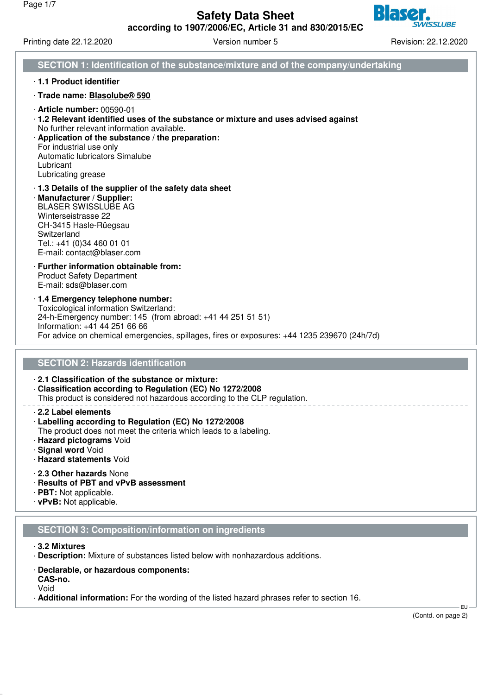

Printing date 22.12.2020 **Version number 5** Revision: 22.12.2020 **SECTION 1: Identification of the substance/mixture and of the company/undertaking** · **1.1 Product identifier** · **Trade name: Blasolube® 590** · **Article number:** 00590-01 · **1.2 Relevant identified uses of the substance or mixture and uses advised against** No further relevant information available. · **Application of the substance / the preparation:** For industrial use only Automatic lubricators Simalube Lubricant Lubricating grease · **1.3 Details of the supplier of the safety data sheet** · **Manufacturer / Supplier:** BLASER SWISSLUBE AG Winterseistrasse 22 CH-3415 Hasle-Rüegsau **Switzerland** Tel.: +41 (0)34 460 01 01 E-mail: contact@blaser.com · **Further information obtainable from:** Product Safety Department E-mail: sds@blaser.com · **1.4 Emergency telephone number:** Toxicological information Switzerland: 24-h-Emergency number: 145 (from abroad: +41 44 251 51 51) Information: +41 44 251 66 66 For advice on chemical emergencies, spillages, fires or exposures: +44 1235 239670 (24h/7d) **SECTION 2: Hazards identification** · **2.1 Classification of the substance or mixture:** · **Classification according to Regulation (EC) No 1272/2008** This product is considered not hazardous according to the CLP regulation. · **2.2 Label elements** · **Labelling according to Regulation (EC) No 1272/2008** The product does not meet the criteria which leads to a labeling. · **Hazard pictograms** Void · **Signal word** Void · **Hazard statements** Void · **2.3 Other hazards** None · **Results of PBT and vPvB assessment** · **PBT:** Not applicable. · **vPvB:** Not applicable.

# **SECTION 3: Composition/information on ingredients**

- · **3.2 Mixtures**
- · **Description:** Mixture of substances listed below with nonhazardous additions.
- · **Declarable, or hazardous components:**

**CAS-no.** Void

· **Additional information:** For the wording of the listed hazard phrases refer to section 16.

(Contd. on page 2)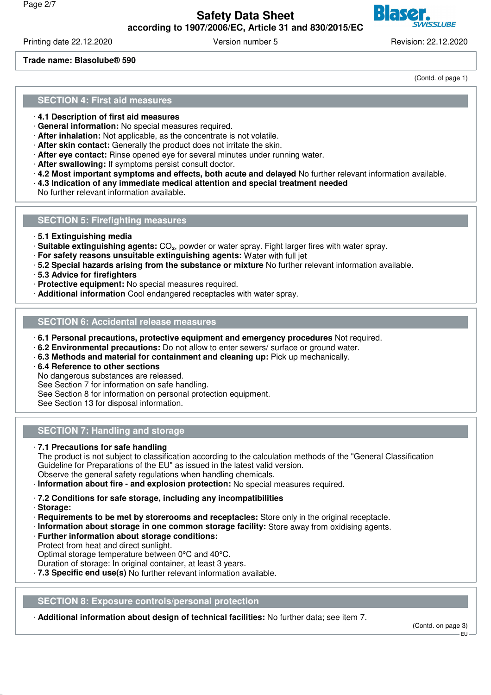

Printing date 22.12.2020 **Version number 5** Revision: 22.12.2020

# **Trade name: Blasolube® 590**

### **SECTION 4: First aid measures**

- · **4.1 Description of first aid measures**
- · **General information:** No special measures required.
- · **After inhalation:** Not applicable, as the concentrate is not volatile.
- · **After skin contact:** Generally the product does not irritate the skin.
- · **After eye contact:** Rinse opened eye for several minutes under running water.
- · **After swallowing:** If symptoms persist consult doctor.
- · **4.2 Most important symptoms and effects, both acute and delayed** No further relevant information available.
- · **4.3 Indication of any immediate medical attention and special treatment needed**
- No further relevant information available.

## **SECTION 5: Firefighting measures**

- · **5.1 Extinguishing media**
- · **Suitable extinguishing agents:** CO₂, powder or water spray. Fight larger fires with water spray.
- · **For safety reasons unsuitable extinguishing agents:** Water with full jet
- · **5.2 Special hazards arising from the substance or mixture** No further relevant information available.
- · **5.3 Advice for firefighters**
- · **Protective equipment:** No special measures required.
- · **Additional information** Cool endangered receptacles with water spray.

## **SECTION 6: Accidental release measures**

- · **6.1 Personal precautions, protective equipment and emergency procedures** Not required.
- · **6.2 Environmental precautions:** Do not allow to enter sewers/ surface or ground water.
- · **6.3 Methods and material for containment and cleaning up:** Pick up mechanically.
- · **6.4 Reference to other sections** No dangerous substances are released.

See Section 7 for information on safe handling.

See Section 8 for information on personal protection equipment.

See Section 13 for disposal information.

# **SECTION 7: Handling and storage**

## · **7.1 Precautions for safe handling**

The product is not subject to classification according to the calculation methods of the "General Classification Guideline for Preparations of the EU" as issued in the latest valid version. Observe the general safety regulations when handling chemicals.

- · **Information about fire and explosion protection:** No special measures required.
- · **7.2 Conditions for safe storage, including any incompatibilities**
- · **Storage:**
- · **Requirements to be met by storerooms and receptacles:** Store only in the original receptacle.
- · **Information about storage in one common storage facility:** Store away from oxidising agents.
- · **Further information about storage conditions:**
- Protect from heat and direct sunlight.

Optimal storage temperature between 0°C and 40°C.

Duration of storage: In original container, at least 3 years.

· **7.3 Specific end use(s)** No further relevant information available.

## **SECTION 8: Exposure controls/personal protection**

· **Additional information about design of technical facilities:** No further data; see item 7.

(Contd. on page 3)

### (Contd. of page 1)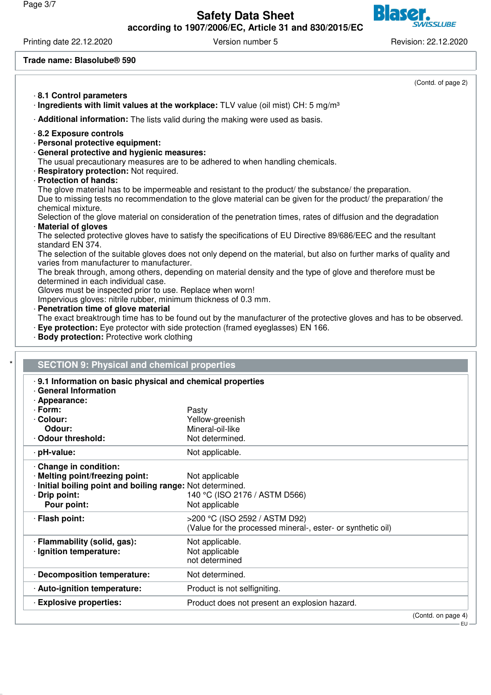

Printing date 22.12.2020 Version number 5 Revision: 22.12.2020

(Contd. on page 4)

EU

## **Trade name: Blasolube® 590**

**Flammability (solid, gas):** Not applicable.<br> **Ignition temperature:** Not applicable

· **Decomposition temperature:** Not determined.

· **Auto-ignition temperature:** Product is not selfigniting.

not determined

· **Explosive properties:** Product does not present an explosion hazard.

· Ignition temperature:

| 8.1 Control parameters                                                                                                                                                                                                                                                                                   |                                                                                                                     |  |  |
|----------------------------------------------------------------------------------------------------------------------------------------------------------------------------------------------------------------------------------------------------------------------------------------------------------|---------------------------------------------------------------------------------------------------------------------|--|--|
|                                                                                                                                                                                                                                                                                                          | Ingredients with limit values at the workplace: TLV value (oil mist) CH: 5 mg/m <sup>3</sup>                        |  |  |
|                                                                                                                                                                                                                                                                                                          | Additional information: The lists valid during the making were used as basis.                                       |  |  |
| 8.2 Exposure controls                                                                                                                                                                                                                                                                                    |                                                                                                                     |  |  |
| · Personal protective equipment:                                                                                                                                                                                                                                                                         |                                                                                                                     |  |  |
| · General protective and hygienic measures:                                                                                                                                                                                                                                                              |                                                                                                                     |  |  |
|                                                                                                                                                                                                                                                                                                          | The usual precautionary measures are to be adhered to when handling chemicals.                                      |  |  |
| Respiratory protection: Not required.                                                                                                                                                                                                                                                                    |                                                                                                                     |  |  |
| · Protection of hands:                                                                                                                                                                                                                                                                                   |                                                                                                                     |  |  |
|                                                                                                                                                                                                                                                                                                          | The glove material has to be impermeable and resistant to the product/ the substance/ the preparation.              |  |  |
| chemical mixture.                                                                                                                                                                                                                                                                                        | Due to missing tests no recommendation to the glove material can be given for the product/ the preparation/ the     |  |  |
|                                                                                                                                                                                                                                                                                                          | Selection of the glove material on consideration of the penetration times, rates of diffusion and the degradation   |  |  |
| · Material of gloves                                                                                                                                                                                                                                                                                     |                                                                                                                     |  |  |
|                                                                                                                                                                                                                                                                                                          | The selected protective gloves have to satisfy the specifications of EU Directive 89/686/EEC and the resultant      |  |  |
| standard EN 374.                                                                                                                                                                                                                                                                                         |                                                                                                                     |  |  |
| The selection of the suitable gloves does not only depend on the material, but also on further marks of quality and                                                                                                                                                                                      |                                                                                                                     |  |  |
| varies from manufacturer to manufacturer.                                                                                                                                                                                                                                                                |                                                                                                                     |  |  |
|                                                                                                                                                                                                                                                                                                          | The break through, among others, depending on material density and the type of glove and therefore must be          |  |  |
|                                                                                                                                                                                                                                                                                                          |                                                                                                                     |  |  |
| determined in each individual case.                                                                                                                                                                                                                                                                      |                                                                                                                     |  |  |
| Gloves must be inspected prior to use. Replace when worn!                                                                                                                                                                                                                                                |                                                                                                                     |  |  |
| Impervious gloves: nitrile rubber, minimum thickness of 0.3 mm.<br>· Penetration time of glove material                                                                                                                                                                                                  | The exact breaktrough time has to be found out by the manufacturer of the protective gloves and has to be observed. |  |  |
| <b>Body protection:</b> Protective work clothing                                                                                                                                                                                                                                                         | Eye protection: Eye protector with side protection (framed eyeglasses) EN 166.                                      |  |  |
| <b>SECTION 9: Physical and chemical properties</b>                                                                                                                                                                                                                                                       |                                                                                                                     |  |  |
|                                                                                                                                                                                                                                                                                                          |                                                                                                                     |  |  |
|                                                                                                                                                                                                                                                                                                          |                                                                                                                     |  |  |
|                                                                                                                                                                                                                                                                                                          |                                                                                                                     |  |  |
|                                                                                                                                                                                                                                                                                                          | Pasty                                                                                                               |  |  |
|                                                                                                                                                                                                                                                                                                          | Yellow-greenish                                                                                                     |  |  |
| Odour:                                                                                                                                                                                                                                                                                                   | Mineral-oil-like<br>Not determined.                                                                                 |  |  |
|                                                                                                                                                                                                                                                                                                          | Not applicable.                                                                                                     |  |  |
|                                                                                                                                                                                                                                                                                                          |                                                                                                                     |  |  |
|                                                                                                                                                                                                                                                                                                          |                                                                                                                     |  |  |
|                                                                                                                                                                                                                                                                                                          | Not applicable                                                                                                      |  |  |
| 9.1 Information on basic physical and chemical properties<br>· General Information<br>· Appearance:<br>· Form:<br>· Colour:<br>Odour threshold:<br>· pH-value:<br>Change in condition:<br>· Melting point/freezing point:<br>· Initial boiling point and boiling range: Not determined.<br>· Drip point: | 140 °C (ISO 2176 / ASTM D566)                                                                                       |  |  |
| Pour point:                                                                                                                                                                                                                                                                                              | Not applicable                                                                                                      |  |  |
| · Flash point:                                                                                                                                                                                                                                                                                           | >200 °C (ISO 2592 / ASTM D92)<br>(Value for the processed mineral-, ester- or synthetic oil)                        |  |  |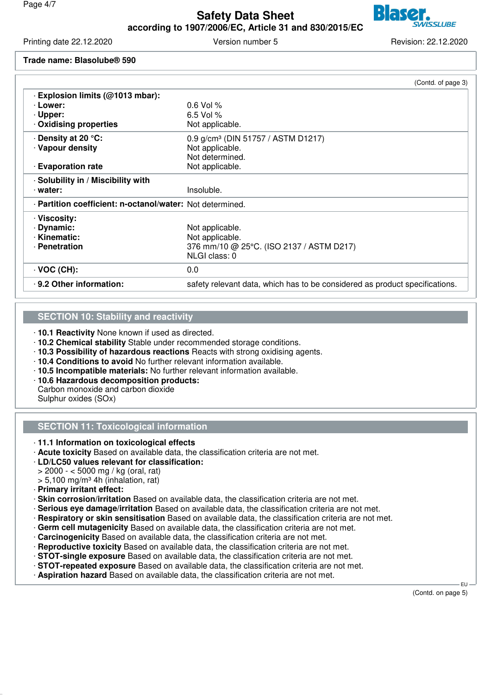

Printing date 22.12.2020 **Version number 5** Revision: 22.12.2020

### **Trade name: Blasolube® 590**

|                                                           | (Contd. of page 3)                                                          |
|-----------------------------------------------------------|-----------------------------------------------------------------------------|
| Explosion limits (@1013 mbar):                            |                                                                             |
| · Lower:                                                  | $0.6$ Vol %                                                                 |
| · Upper:                                                  | 6.5 Vol $%$                                                                 |
| <b>Oxidising properties</b>                               | Not applicable.                                                             |
| ⋅ Density at 20 °C:                                       | 0.9 g/cm <sup>3</sup> (DIN 51757 / ASTM D1217)                              |
| · Vapour density                                          | Not applicable.                                                             |
|                                                           | Not determined.                                                             |
| <b>Evaporation rate</b>                                   | Not applicable.                                                             |
| · Solubility in / Miscibility with                        |                                                                             |
| water:                                                    | Insoluble.                                                                  |
| · Partition coefficient: n-octanol/water: Not determined. |                                                                             |
| · Viscosity:                                              |                                                                             |
| · Dynamic:                                                | Not applicable.                                                             |
| · Kinematic:                                              | Not applicable.                                                             |
| · Penetration                                             | 376 mm/10 @ 25°C. (ISO 2137 / ASTM D217)                                    |
|                                                           | NLGI class: 0                                                               |
| $\cdot$ VOC (CH):                                         | 0.0                                                                         |
| 9.2 Other information:                                    | safety relevant data, which has to be considered as product specifications. |

# **SECTION 10: Stability and reactivity**

- · **10.1 Reactivity** None known if used as directed.
- · **10.2 Chemical stability** Stable under recommended storage conditions.
- · **10.3 Possibility of hazardous reactions** Reacts with strong oxidising agents.
- · **10.4 Conditions to avoid** No further relevant information available.
- · **10.5 Incompatible materials:** No further relevant information available.
- · **10.6 Hazardous decomposition products:** Carbon monoxide and carbon dioxide Sulphur oxides (SOx)

# **SECTION 11: Toxicological information**

- · **11.1 Information on toxicological effects**
- · **Acute toxicity** Based on available data, the classification criteria are not met.
- · **LD/LC50 values relevant for classification:**
- > 2000 < 5000 mg / kg (oral, rat)
- $> 5,100$  mg/m<sup>3</sup> 4h (inhalation, rat)
- · **Primary irritant effect:**
- · **Skin corrosion/irritation** Based on available data, the classification criteria are not met.
- · **Serious eye damage/irritation** Based on available data, the classification criteria are not met.
- · **Respiratory or skin sensitisation** Based on available data, the classification criteria are not met.
- · **Germ cell mutagenicity** Based on available data, the classification criteria are not met.
- · **Carcinogenicity** Based on available data, the classification criteria are not met.
- · **Reproductive toxicity** Based on available data, the classification criteria are not met.
- · **STOT-single exposure** Based on available data, the classification criteria are not met.
- · **STOT-repeated exposure** Based on available data, the classification criteria are not met.
- · **Aspiration hazard** Based on available data, the classification criteria are not met.

(Contd. on page 5)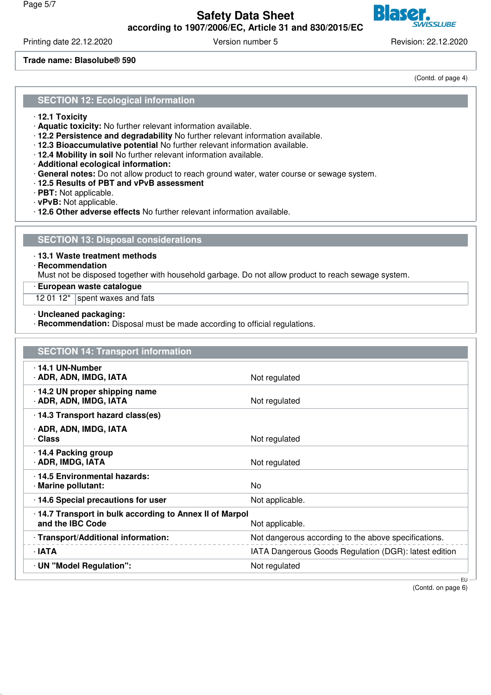

Printing date 22.12.2020 Version number 5 Revision: 22.12.2020

(Contd. of page 4)

# **Trade name: Blasolube® 590**

**SECTION 12: Ecological information**

- · **12.1 Toxicity**
- · **Aquatic toxicity:** No further relevant information available.
- · **12.2 Persistence and degradability** No further relevant information available.
- · **12.3 Bioaccumulative potential** No further relevant information available.
- · **12.4 Mobility in soil** No further relevant information available.
- · **Additional ecological information:**
- · **General notes:** Do not allow product to reach ground water, water course or sewage system.
- · **12.5 Results of PBT and vPvB assessment**
- · **PBT:** Not applicable.
- · **vPvB:** Not applicable.
- · **12.6 Other adverse effects** No further relevant information available.

## **SECTION 13: Disposal considerations**

- · **13.1 Waste treatment methods**
- · **Recommendation**

Must not be disposed together with household garbage. Do not allow product to reach sewage system.

· **European waste catalogue**

12 01 12 $*$  spent waxes and fats

- · **Uncleaned packaging:**
- · **Recommendation:** Disposal must be made according to official regulations.

| <b>SECTION 14: Transport information</b>                                   |                                                       |
|----------------------------------------------------------------------------|-------------------------------------------------------|
| 14.1 UN-Number<br>· ADR, ADN, IMDG, IATA                                   | Not regulated                                         |
| 14.2 UN proper shipping name<br>· ADR, ADN, IMDG, IATA                     | Not regulated                                         |
| 14.3 Transport hazard class(es)                                            |                                                       |
| · ADR, ADN, IMDG, IATA<br>· Class                                          | Not regulated                                         |
| 14.4 Packing group<br><b>ADR, IMDG, IATA</b>                               | Not regulated                                         |
| 14.5 Environmental hazards:<br>· Marine pollutant:                         | No.                                                   |
| 14.6 Special precautions for user                                          | Not applicable.                                       |
| 14.7 Transport in bulk according to Annex II of Marpol<br>and the IBC Code | Not applicable.                                       |
| · Transport/Additional information:                                        | Not dangerous according to the above specifications.  |
| · IATA                                                                     | IATA Dangerous Goods Regulation (DGR): latest edition |
| UN "Model Regulation":                                                     | Not regulated                                         |

(Contd. on page 6)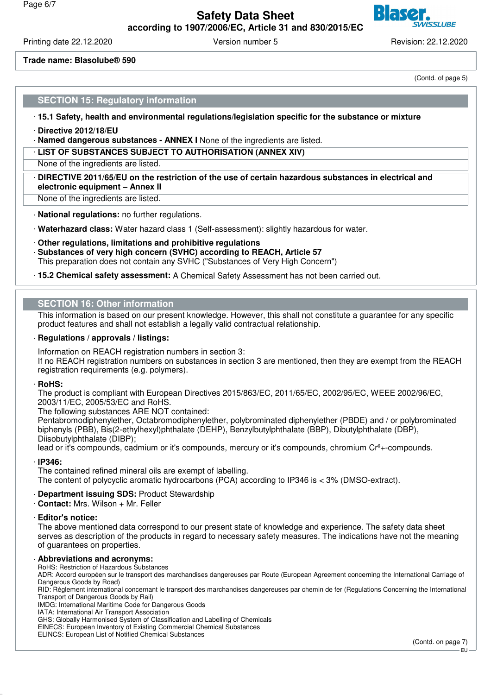

Printing date 22.12.2020 **Version number 5** Revision: 22.12.2020

# **Trade name: Blasolube® 590**

# **SECTION 15: Regulatory information**

- · **15.1 Safety, health and environmental regulations/legislation specific for the substance or mixture**
- · **Directive 2012/18/EU**
- · **Named dangerous substances ANNEX I** None of the ingredients are listed.

· **LIST OF SUBSTANCES SUBJECT TO AUTHORISATION (ANNEX XIV)**

None of the ingredients are listed.

· **DIRECTIVE 2011/65/EU on the restriction of the use of certain hazardous substances in electrical and electronic equipment – Annex II**

None of the ingredients are listed.

· **National regulations:** no further regulations.

· **Waterhazard class:** Water hazard class 1 (Self-assessment): slightly hazardous for water.

· **Other regulations, limitations and prohibitive regulations**

- · **Substances of very high concern (SVHC) according to REACH, Article 57**
- This preparation does not contain any SVHC ("Substances of Very High Concern")

### · **15.2 Chemical safety assessment:** A Chemical Safety Assessment has not been carried out.

## **SECTION 16: Other information**

This information is based on our present knowledge. However, this shall not constitute a guarantee for any specific product features and shall not establish a legally valid contractual relationship.

### · **Regulations / approvals / listings:**

Information on REACH registration numbers in section 3:

If no REACH registration numbers on substances in section 3 are mentioned, then they are exempt from the REACH registration requirements (e.g. polymers).

### · **RoHS:**

The product is compliant with European Directives 2015/863/EC, 2011/65/EC, 2002/95/EC, WEEE 2002/96/EC, 2003/11/EC, 2005/53/EC and RoHS.

The following substances ARE NOT contained:

Pentabromodiphenylether, Octabromodiphenylether, polybrominated diphenylether (PBDE) and / or polybrominated biphenyls (PBB), Bis(2-ethylhexyl)phthalate (DEHP), Benzylbutylphthalate (BBP), Dibutylphthalate (DBP), Diisobutylphthalate (DIBP);

lead or it's compounds, cadmium or it's compounds, mercury or it's compounds, chromium Cr<sup>e</sup>+-compounds,

### · **IP346:**

The contained refined mineral oils are exempt of labelling. The content of polycyclic aromatic hydrocarbons (PCA) according to IP346 is < 3% (DMSO-extract).

- · **Department issuing SDS:** Product Stewardship
- · **Contact:** Mrs. Wilson + Mr. Feller

### · **Editor's notice:**

The above mentioned data correspond to our present state of knowledge and experience. The safety data sheet serves as description of the products in regard to necessary safety measures. The indications have not the meaning of guarantees on properties.

### · **Abbreviations and acronyms:**

RoHS: Restriction of Hazardous Substances

ADR: Accord européen sur le transport des marchandises dangereuses par Route (European Agreement concerning the International Carriage of Dangerous Goods by Road)

RID: Règlement international concernant le transport des marchandises dangereuses par chemin de fer (Regulations Concerning the International Transport of Dangerous Goods by Rail)

IMDG: International Maritime Code for Dangerous Goods

IATA: International Air Transport Association

GHS: Globally Harmonised System of Classification and Labelling of Chemicals

EINECS: European Inventory of Existing Commercial Chemical Substances

ELINCS: European List of Notified Chemical Substances